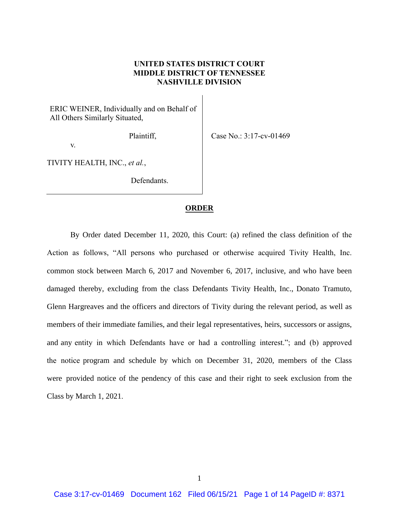## **UNITED STATES DISTRICT COURT MIDDLE DISTRICT OF TENNESSEE NASHVILLE DIVISION**

ERIC WEINER, Individually and on Behalf of All Others Similarly Situated,

Plaintiff,

Case No.: 3:17-cv-01469

v.

TIVITY HEALTH, INC., *et al.*,

Defendants.

## **ORDER**

By Order dated December 11, 2020, this Court: (a) refined the class definition of the Action as follows, "All persons who purchased or otherwise acquired Tivity Health, Inc. common stock between March 6, 2017 and November 6, 2017, inclusive, and who have been damaged thereby, excluding from the class Defendants Tivity Health, Inc., Donato Tramuto, Glenn Hargreaves and the officers and directors of Tivity during the relevant period, as well as members of their immediate families, and their legal representatives, heirs, successors or assigns, and any entity in which Defendants have or had a controlling interest."; and (b) approved the notice program and schedule by which on December 31, 2020, members of the Class were provided notice of the pendency of this case and their right to seek exclusion from the Class by March 1, 2021.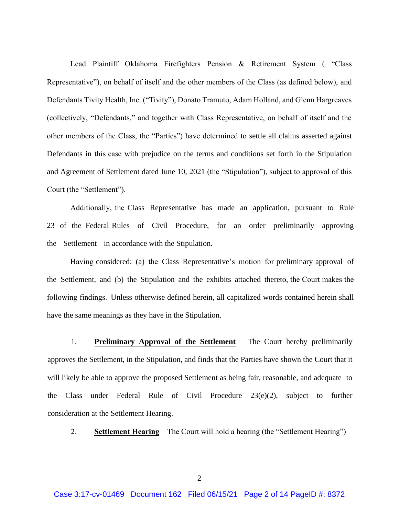Lead Plaintiff Oklahoma Firefighters Pension & Retirement System ( "Class Representative"), on behalf of itself and the other members of the Class (as defined below), and Defendants Tivity Health, Inc. ("Tivity"), Donato Tramuto, Adam Holland, and Glenn Hargreaves (collectively, "Defendants," and together with Class Representative, on behalf of itself and the other members of the Class, the "Parties") have determined to settle all claims asserted against Defendants in this case with prejudice on the terms and conditions set forth in the Stipulation and Agreement of Settlement dated June 10, 2021 (the "Stipulation"), subject to approval of this Court (the "Settlement").

Additionally, the Class Representative has made an application, pursuant to Rule 23 of the Federal Rules of Civil Procedure, for an order preliminarily approving the Settlement in accordance with the Stipulation.

Having considered: (a) the Class Representative's motion for preliminary approval of the Settlement, and (b) the Stipulation and the exhibits attached thereto, the Court makes the following findings. Unless otherwise defined herein, all capitalized words contained herein shall have the same meanings as they have in the Stipulation.

 1. **Preliminary Approval of the Settlement** – The Court hereby preliminarily approves the Settlement, in the Stipulation, and finds that the Parties have shown the Court that it will likely be able to approve the proposed Settlement as being fair, reasonable, and adequate to the Class under Federal Rule of Civil Procedure 23(e)(2), subject to further consideration at the Settlement Hearing.

2. **Settlement Hearing** – The Court will hold a hearing (the "Settlement Hearing")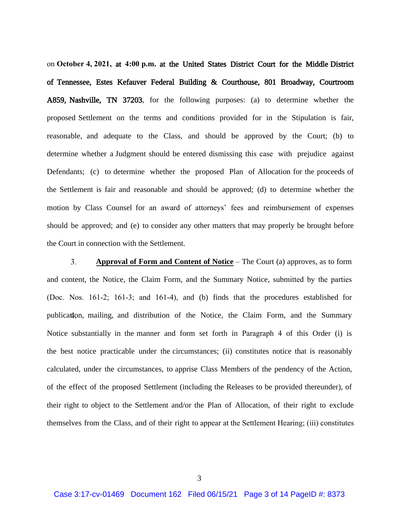on **October 4, 2021,** at **4:00 p.m.** at the United States District Court for the Middle District of Tennessee, Estes Kefauver Federal Building & Courthouse, 801 Broadway, Courtroom A859, Nashville, TN 37203, for the following purposes: (a) to determine whether the proposed Settlement on the terms and conditions provided for in the Stipulation is fair, reasonable, and adequate to the Class, and should be approved by the Court; (b) to determine whether a Judgment should be entered dismissing this case with prejudice against Defendants; (c) to determine whether the proposed Plan of Allocation for the proceeds of the Settlement is fair and reasonable and should be approved; (d) to determine whether the motion by Class Counsel for an award of attorneys' fees and reimbursement of expenses should be approved; and (e) to consider any other matters that may properly be brought before the Court in connection with the Settlement.

 $3<sub>1</sub>$ **Approval of Form and Content of Notice** – The Court (a) approves, as to form and content, the Notice, the Claim Form, and the Summary Notice, submitted by the parties (Doc. Nos. 161-2; 161-3; and 161-4), and (b) finds that the procedures established for publication, mailing, and distribution of the Notice, the Claim Form, and the Summary Notice substantially in the manner and form set forth in Paragraph 4 of this Order (i) is the best notice practicable under the circumstances; (ii) constitutes notice that is reasonably calculated, under the circumstances, to apprise Class Members of the pendency of the Action, of the effect of the proposed Settlement (including the Releases to be provided thereunder), of their right to object to the Settlement and/or the Plan of Allocation, of their right to exclude themselves from the Class, and of their right to appear at the Settlement Hearing; (iii) constitutes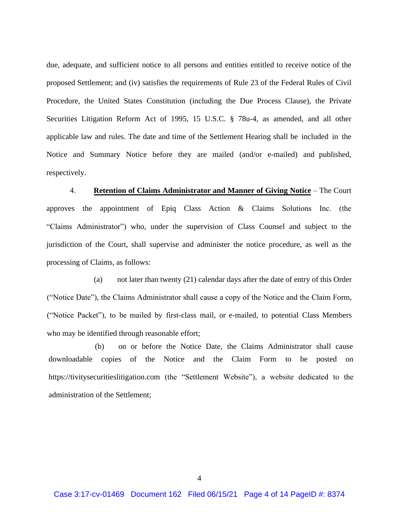due, adequate, and sufficient notice to all persons and entities entitled to receive notice of the proposed Settlement; and (iv) satisfies the requirements of Rule 23 of the Federal Rules of Civil Procedure, the United States Constitution (including the Due Process Clause), the Private Securities Litigation Reform Act of 1995, 15 U.S.C. § 78u-4, as amended, and all other applicable law and rules. The date and time of the Settlement Hearing shall be included in the Notice and Summary Notice before they are mailed (and/or e-mailed) and published, respectively.

4. **Retention of Claims Administrator and Manner of Giving Notice** – The Court approves the appointment of Epiq Class Action & Claims Solutions Inc. (the "Claims Administrator") who, under the supervision of Class Counsel and subject to the jurisdiction of the Court, shall supervise and administer the notice procedure, as well as the processing of Claims, as follows:

(a) not later than twenty (21) calendar days after the date of entry of this Order ("Notice Date"), the Claims Administrator shall cause a copy of the Notice and the Claim Form, ("Notice Packet"), to be mailed by first-class mail, or e-mailed, to potential Class Members who may be identified through reasonable effort;

(b) on or before the Notice Date, the Claims Administrator shall cause downloadable copies of the Notice and the Claim Form to be posted on https://tivitysecuritieslitigation.com (the "Settlement Website"), a website dedicated to the administration of the Settlement;

4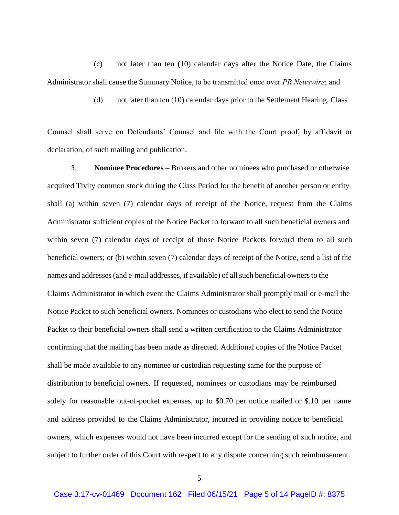(c) not later than ten (10) calendar days after the Notice Date, the Claims Administrator shall cause the Summary Notice, to be transmitted once over *PR Newswire*; and

(d) not later than ten (10) calendar days prior to the Settlement Hearing, Class

Counsel shall serve on Defendants' Counsel and file with the Court proof, by affidavit or declaration, of such mailing and publication.

5. **Nominee Procedures** – Brokers and other nominees who purchased or otherwise acquired Tivity common stock during the Class Period for the benefit of another person or entity shall (a) within seven (7) calendar days of receipt of the Notice, request from the Claims Administrator sufficient copies of the Notice Packet to forward to all such beneficial owners and within seven (7) calendar days of receipt of those Notice Packets forward them to all such beneficial owners; or (b) within seven (7) calendar days of receipt of the Notice, send a list of the names and addresses (and e-mail addresses, if available) of all such beneficial owners to the Claims Administrator in which event the Claims Administrator shall promptly mail or e-mail the Notice Packet to such beneficial owners. Nominees or custodians who elect to send the Notice Packet to their beneficial owners shall send a written certification to the Claims Administrator confirming that the mailing has been made as directed. Additional copies of the Notice Packet shall be made available to any nominee or custodian requesting same for the purpose of distribution to beneficial owners. If requested, nominees or custodians may be reimbursed solely for reasonable out-of-pocket expenses, up to \$0.70 per notice mailed or \$.10 per name and address provided to the Claims Administrator, incurred in providing notice to beneficial owners, which expenses would not have been incurred except for the sending of such notice, and subject to further order of this Court with respect to any dispute concerning such reimbursement.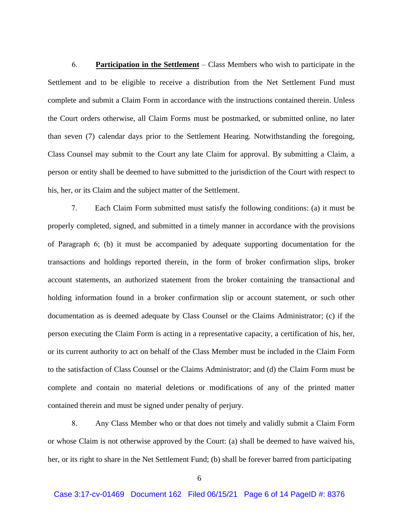6. **Participation in the Settlement** – Class Members who wish to participate in the Settlement and to be eligible to receive a distribution from the Net Settlement Fund must complete and submit a Claim Form in accordance with the instructions contained therein. Unless the Court orders otherwise, all Claim Forms must be postmarked, or submitted online, no later than seven (7) calendar days prior to the Settlement Hearing. Notwithstanding the foregoing, Class Counsel may submit to the Court any late Claim for approval. By submitting a Claim, a person or entity shall be deemed to have submitted to the jurisdiction of the Court with respect to his, her, or its Claim and the subject matter of the Settlement.

7. Each Claim Form submitted must satisfy the following conditions: (a) it must be properly completed, signed, and submitted in a timely manner in accordance with the provisions of Paragraph 6; (b) it must be accompanied by adequate supporting documentation for the transactions and holdings reported therein, in the form of broker confirmation slips, broker account statements, an authorized statement from the broker containing the transactional and holding information found in a broker confirmation slip or account statement, or such other documentation as is deemed adequate by Class Counsel or the Claims Administrator; (c) if the person executing the Claim Form is acting in a representative capacity, a certification of his, her, or its current authority to act on behalf of the Class Member must be included in the Claim Form to the satisfaction of Class Counsel or the Claims Administrator; and (d) the Claim Form must be complete and contain no material deletions or modifications of any of the printed matter contained therein and must be signed under penalty of perjury.

8. Any Class Member who or that does not timely and validly submit a Claim Form or whose Claim is not otherwise approved by the Court: (a) shall be deemed to have waived his, her, or its right to share in the Net Settlement Fund; (b) shall be forever barred from participating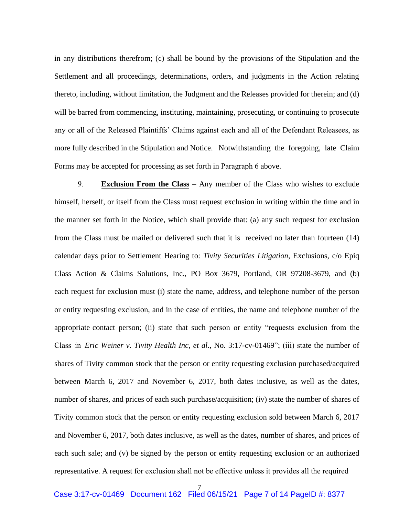in any distributions therefrom; (c) shall be bound by the provisions of the Stipulation and the Settlement and all proceedings, determinations, orders, and judgments in the Action relating thereto, including, without limitation, the Judgment and the Releases provided for therein; and (d) will be barred from commencing, instituting, maintaining, prosecuting, or continuing to prosecute any or all of the Released Plaintiffs' Claims against each and all of the Defendant Releasees, as more fully described in the Stipulation and Notice. Notwithstanding the foregoing, late Claim Forms may be accepted for processing as set forth in Paragraph 6 above.

 9. **Exclusion From the Class** – Any member of the Class who wishes to exclude himself, herself, or itself from the Class must request exclusion in writing within the time and in the manner set forth in the Notice, which shall provide that: (a) any such request for exclusion from the Class must be mailed or delivered such that it is received no later than fourteen (14) calendar days prior to Settlement Hearing to: *Tivity Securities Litigation*, Exclusions, c/o Epiq Class Action & Claims Solutions, Inc., PO Box 3679, Portland, OR 97208-3679, and (b) each request for exclusion must (i) state the name, address, and telephone number of the person or entity requesting exclusion, and in the case of entities, the name and telephone number of the appropriate contact person; (ii) state that such person or entity "requests exclusion from the Class in *Eric Weiner v. Tivity Health Inc, et al.*, No. 3:17-cv-01469"; (iii) state the number of shares of Tivity common stock that the person or entity requesting exclusion purchased/acquired between March 6, 2017 and November 6, 2017, both dates inclusive, as well as the dates, number of shares, and prices of each such purchase/acquisition; (iv) state the number of shares of Tivity common stock that the person or entity requesting exclusion sold between March 6, 2017 and November 6, 2017, both dates inclusive, as well as the dates, number of shares, and prices of each such sale; and (v) be signed by the person or entity requesting exclusion or an authorized representative. A request for exclusion shall not be effective unless it provides all the required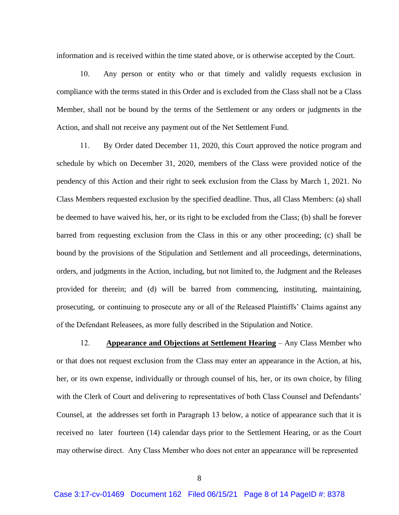information and is received within the time stated above, or is otherwise accepted by the Court.

 10. Any person or entity who or that timely and validly requests exclusion in compliance with the terms stated in this Order and is excluded from the Class shall not be a Class Member, shall not be bound by the terms of the Settlement or any orders or judgments in the Action, and shall not receive any payment out of the Net Settlement Fund.

 11. By Order dated December 11, 2020, this Court approved the notice program and schedule by which on December 31, 2020, members of the Class were provided notice of the pendency of this Action and their right to seek exclusion from the Class by March 1, 2021. No Class Members requested exclusion by the specified deadline. Thus, all Class Members: (a) shall be deemed to have waived his, her, or its right to be excluded from the Class; (b) shall be forever barred from requesting exclusion from the Class in this or any other proceeding; (c) shall be bound by the provisions of the Stipulation and Settlement and all proceedings, determinations, orders, and judgments in the Action, including, but not limited to, the Judgment and the Releases provided for therein; and (d) will be barred from commencing, instituting, maintaining, prosecuting, or continuing to prosecute any or all of the Released Plaintiffs' Claims against any of the Defendant Releasees, as more fully described in the Stipulation and Notice.

 12. **Appearance and Objections at Settlement Hearing** – Any Class Member who or that does not request exclusion from the Class may enter an appearance in the Action, at his, her, or its own expense, individually or through counsel of his, her, or its own choice, by filing with the Clerk of Court and delivering to representatives of both Class Counsel and Defendants' Counsel, at the addresses set forth in Paragraph 13 below, a notice of appearance such that it is received no later fourteen (14) calendar days prior to the Settlement Hearing, or as the Court may otherwise direct. Any Class Member who does not enter an appearance will be represented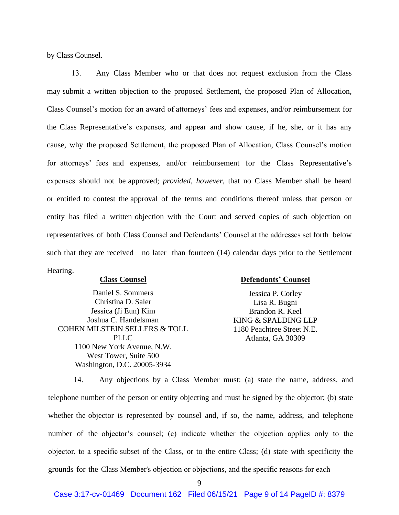by Class Counsel.

13. Any Class Member who or that does not request exclusion from the Class may submit a written objection to the proposed Settlement, the proposed Plan of Allocation, Class Counsel's motion for an award of attorneys' fees and expenses, and/or reimbursement for the Class Representative's expenses, and appear and show cause, if he, she, or it has any cause, why the proposed Settlement, the proposed Plan of Allocation, Class Counsel's motion for attorneys' fees and expenses, and/or reimbursement for the Class Representative's expenses should not be approved; *provided, however*, that no Class Member shall be heard or entitled to contest the approval of the terms and conditions thereof unless that person or entity has filed a written objection with the Court and served copies of such objection on representatives of both Class Counsel and Defendants' Counsel at the addresses set forth below such that they are received no later than fourteen (14) calendar days prior to the Settlement Hearing.

## **Class Counsel**

Daniel S. Sommers Christina D. Saler Jessica (Ji Eun) Kim Joshua C. Handelsman COHEN MILSTEIN SELLERS & TOLL PLLC 1100 New York Avenue, N.W. West Tower, Suite 500 Washington, D.C. 20005-3934

## **Defendants' Counsel**

Jessica P. Corley Lisa R. Bugni Brandon R. Keel KING & SPALDING LLP 1180 Peachtree Street N.E. Atlanta, GA 30309

14. Any objections by a Class Member must: (a) state the name, address, and telephone number of the person or entity objecting and must be signed by the objector; (b) state whether the objector is represented by counsel and, if so, the name, address, and telephone number of the objector's counsel; (c) indicate whether the objection applies only to the objector, to a specific subset of the Class, or to the entire Class; (d) state with specificity the grounds for the Class Member's objection or objections, and the specific reasons for each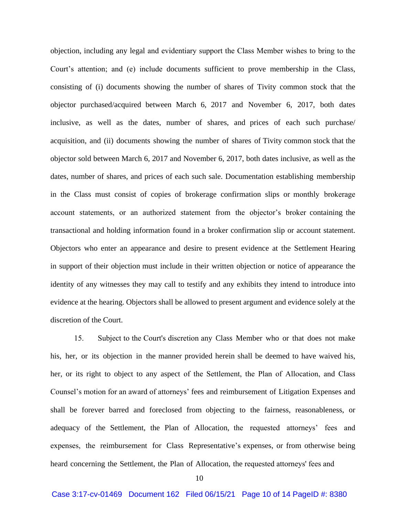objection, including any legal and evidentiary support the Class Member wishes to bring to the Court's attention; and (e) include documents sufficient to prove membership in the Class, consisting of (i) documents showing the number of shares of Tivity common stock that the objector purchased/acquired between March 6, 2017 and November 6, 2017, both dates inclusive, as well as the dates, number of shares, and prices of each such purchase/ acquisition, and (ii) documents showing the number of shares of Tivity common stock that the objector sold between March 6, 2017 and November 6, 2017, both dates inclusive, as well as the dates, number of shares, and prices of each such sale. Documentation establishing membership in the Class must consist of copies of brokerage confirmation slips or monthly brokerage account statements, or an authorized statement from the objector's broker containing the transactional and holding information found in a broker confirmation slip or account statement. Objectors who enter an appearance and desire to present evidence at the Settlement Hearing in support of their objection must include in their written objection or notice of appearance the identity of any witnesses they may call to testify and any exhibits they intend to introduce into evidence at the hearing. Objectors shall be allowed to present argument and evidence solely at the discretion of the Court.

 15. Subject to the Court's discretion any Class Member who or that does not make his, her, or its objection in the manner provided herein shall be deemed to have waived his, her, or its right to object to any aspect of the Settlement, the Plan of Allocation, and Class Counsel's motion for an award of attorneys' fees and reimbursement of Litigation Expenses and shall be forever barred and foreclosed from objecting to the fairness, reasonableness, or adequacy of the Settlement, the Plan of Allocation, the requested attorneys' fees and expenses, the reimbursement for Class Representative's expenses, or from otherwise being heard concerning the Settlement, the Plan of Allocation, the requested attorneys' fees and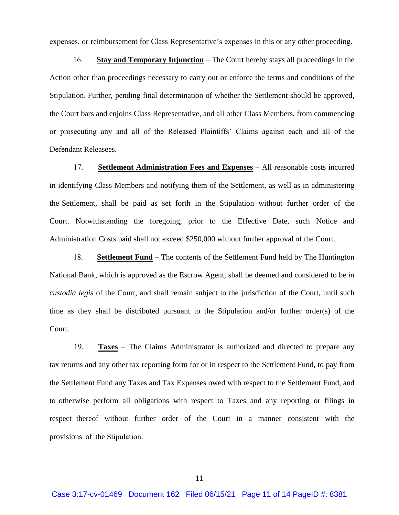expenses, or reimbursement for Class Representative's expenses in this or any other proceeding.

 16. **Stay and Temporary Injunction** – The Court hereby stays all proceedings in the Action other than proceedings necessary to carry out or enforce the terms and conditions of the Stipulation. Further, pending final determination of whether the Settlement should be approved, the Court bars and enjoins Class Representative, and all other Class Members, from commencing or prosecuting any and all of the Released Plaintiffs' Claims against each and all of the Defendant Releasees.

 17. **Settlement Administration Fees and Expenses** – All reasonable costs incurred in identifying Class Members and notifying them of the Settlement, as well as in administering the Settlement, shall be paid as set forth in the Stipulation without further order of the Court. Notwithstanding the foregoing, prior to the Effective Date, such Notice and Administration Costs paid shall not exceed \$250,000 without further approval of the Court.

18. **Settlement Fund** – The contents of the Settlement Fund held by The Huntington National Bank, which is approved as the Escrow Agent, shall be deemed and considered to be *in custodia legis* of the Court, and shall remain subject to the jurisdiction of the Court, until such time as they shall be distributed pursuant to the Stipulation and/or further order(s) of the Court.

 19. **Taxes** – The Claims Administrator is authorized and directed to prepare any tax returns and any other tax reporting form for or in respect to the Settlement Fund, to pay from the Settlement Fund any Taxes and Tax Expenses owed with respect to the Settlement Fund, and to otherwise perform all obligations with respect to Taxes and any reporting or filings in respect thereof without further order of the Court in a manner consistent with the provisions of the Stipulation.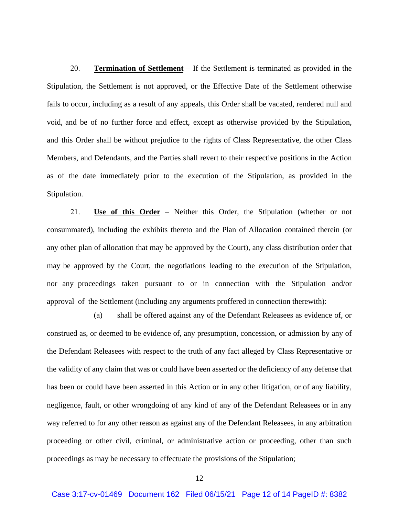20. **Termination of Settlement** – If the Settlement is terminated as provided in the Stipulation, the Settlement is not approved, or the Effective Date of the Settlement otherwise fails to occur, including as a result of any appeals, this Order shall be vacated, rendered null and void, and be of no further force and effect, except as otherwise provided by the Stipulation, and this Order shall be without prejudice to the rights of Class Representative, the other Class Members, and Defendants, and the Parties shall revert to their respective positions in the Action as of the date immediately prior to the execution of the Stipulation, as provided in the Stipulation.

 21. **Use of this Order** – Neither this Order, the Stipulation (whether or not consummated), including the exhibits thereto and the Plan of Allocation contained therein (or any other plan of allocation that may be approved by the Court), any class distribution order that may be approved by the Court, the negotiations leading to the execution of the Stipulation, nor any proceedings taken pursuant to or in connection with the Stipulation and/or approval of the Settlement (including any arguments proffered in connection therewith):

(a) shall be offered against any of the Defendant Releasees as evidence of, or construed as, or deemed to be evidence of, any presumption, concession, or admission by any of the Defendant Releasees with respect to the truth of any fact alleged by Class Representative or the validity of any claim that was or could have been asserted or the deficiency of any defense that has been or could have been asserted in this Action or in any other litigation, or of any liability, negligence, fault, or other wrongdoing of any kind of any of the Defendant Releasees or in any way referred to for any other reason as against any of the Defendant Releasees, in any arbitration proceeding or other civil, criminal, or administrative action or proceeding, other than such proceedings as may be necessary to effectuate the provisions of the Stipulation;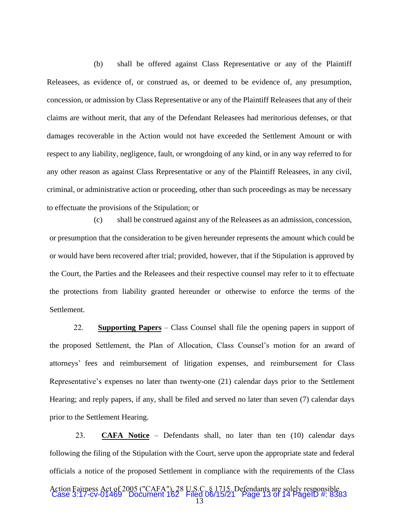(b) shall be offered against Class Representative or any of the Plaintiff Releasees, as evidence of, or construed as, or deemed to be evidence of, any presumption, concession, or admission by Class Representative or any of the Plaintiff Releasees that any of their claims are without merit, that any of the Defendant Releasees had meritorious defenses, or that damages recoverable in the Action would not have exceeded the Settlement Amount or with respect to any liability, negligence, fault, or wrongdoing of any kind, or in any way referred to for any other reason as against Class Representative or any of the Plaintiff Releasees, in any civil, criminal, or administrative action or proceeding, other than such proceedings as may be necessary to effectuate the provisions of the Stipulation; or

(c) shall be construed against any of the Releasees as an admission, concession, or presumption that the consideration to be given hereunder represents the amount which could be or would have been recovered after trial; provided, however, that if the Stipulation is approved by the Court, the Parties and the Releasees and their respective counsel may refer to it to effectuate the protections from liability granted hereunder or otherwise to enforce the terms of the Settlement.

22. **Supporting Papers** – Class Counsel shall file the opening papers in support of the proposed Settlement, the Plan of Allocation, Class Counsel's motion for an award of attorneys' fees and reimbursement of litigation expenses, and reimbursement for Class Representative's expenses no later than twenty-one (21) calendar days prior to the Settlement Hearing; and reply papers, if any, shall be filed and served no later than seven (7) calendar days prior to the Settlement Hearing.

23. **CAFA Notice** – Defendants shall, no later than ten (10) calendar days following the filing of the Stipulation with the Court, serve upon the appropriate state and federal officials a notice of the proposed Settlement in compliance with the requirements of the Class